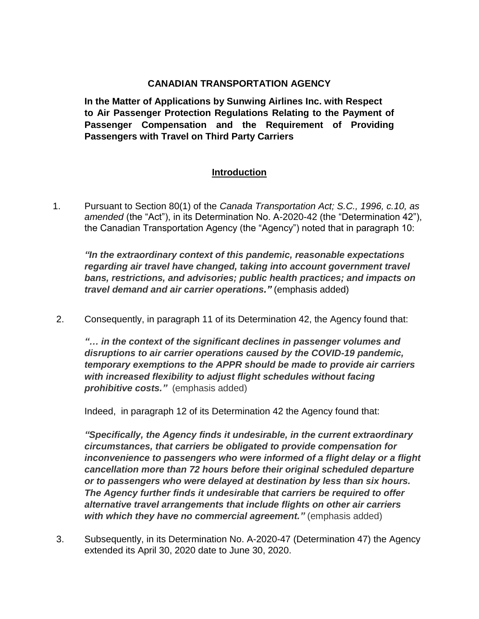## **CANADIAN TRANSPORTATION AGENCY**

**In the Matter of Applications by Sunwing Airlines Inc. with Respect to Air Passenger Protection Regulations Relating to the Payment of Passenger Compensation and the Requirement of Providing Passengers with Travel on Third Party Carriers**

## **Introduction**

1. Pursuant to Section 80(1) of the *Canada Transportation Act; S.C., 1996, c.10, as amended* (the "Act"), in its Determination No. A-2020-42 (the "Determination 42"), the Canadian Transportation Agency (the "Agency") noted that in paragraph 10:

*"In the extraordinary context of this pandemic, reasonable expectations regarding air travel have changed, taking into account government travel bans, restrictions, and advisories; public health practices; and impacts on travel demand and air carrier operations."* (emphasis added)

2. Consequently, in paragraph 11 of its Determination 42, the Agency found that:

*"… in the context of the significant declines in passenger volumes and disruptions to air carrier operations caused by the COVID-19 pandemic, temporary exemptions to the APPR should be made to provide air carriers with increased flexibility to adjust flight schedules without facing prohibitive costs."* (emphasis added)

Indeed, in paragraph 12 of its Determination 42 the Agency found that:

*"Specifically, the Agency finds it undesirable, in the current extraordinary circumstances, that carriers be obligated to provide compensation for inconvenience to passengers who were informed of a flight delay or a flight cancellation more than 72 hours before their original scheduled departure or to passengers who were delayed at destination by less than six hours. The Agency further finds it undesirable that carriers be required to offer alternative travel arrangements that include flights on other air carriers*  with which they have no commercial agreement." (emphasis added)

3. Subsequently, in its Determination No. A-2020-47 (Determination 47) the Agency extended its April 30, 2020 date to June 30, 2020.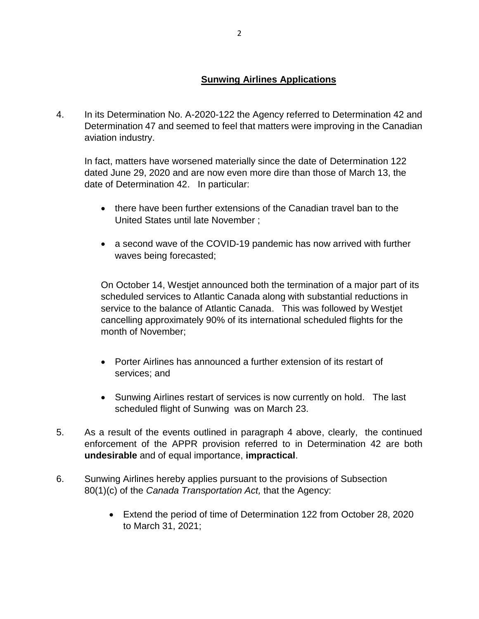## **Sunwing Airlines Applications**

4. In its Determination No. A-2020-122 the Agency referred to Determination 42 and Determination 47 and seemed to feel that matters were improving in the Canadian aviation industry.

In fact, matters have worsened materially since the date of Determination 122 dated June 29, 2020 and are now even more dire than those of March 13, the date of Determination 42. In particular:

- there have been further extensions of the Canadian travel ban to the United States until late November ;
- a second wave of the COVID-19 pandemic has now arrived with further waves being forecasted;

On October 14, Westjet announced both the termination of a major part of its scheduled services to Atlantic Canada along with substantial reductions in service to the balance of Atlantic Canada. This was followed by Westjet cancelling approximately 90% of its international scheduled flights for the month of November;

- Porter Airlines has announced a further extension of its restart of services; and
- Sunwing Airlines restart of services is now currently on hold. The last scheduled flight of Sunwing was on March 23.
- 5. As a result of the events outlined in paragraph 4 above, clearly, the continued enforcement of the APPR provision referred to in Determination 42 are both **undesirable** and of equal importance, **impractical**.
- 6. Sunwing Airlines hereby applies pursuant to the provisions of Subsection 80(1)(c) of the *Canada Transportation Act,* that the Agency:
	- Extend the period of time of Determination 122 from October 28, 2020 to March 31, 2021;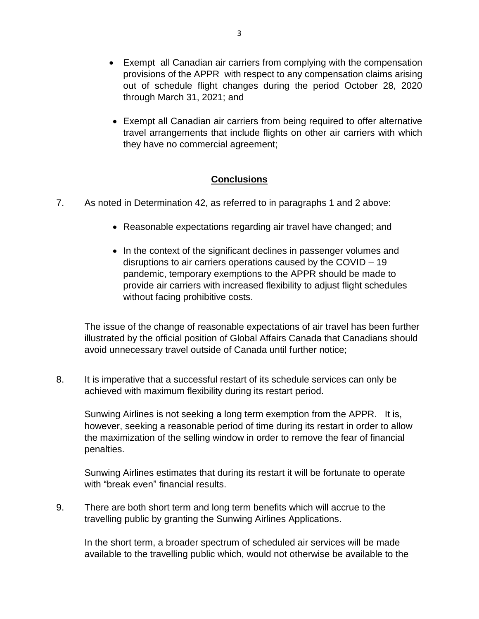- Exempt all Canadian air carriers from complying with the compensation provisions of the APPR with respect to any compensation claims arising out of schedule flight changes during the period October 28, 2020 through March 31, 2021; and
- Exempt all Canadian air carriers from being required to offer alternative travel arrangements that include flights on other air carriers with which they have no commercial agreement;

## **Conclusions**

- 7. As noted in Determination 42, as referred to in paragraphs 1 and 2 above:
	- Reasonable expectations regarding air travel have changed; and
	- In the context of the significant declines in passenger volumes and disruptions to air carriers operations caused by the COVID – 19 pandemic, temporary exemptions to the APPR should be made to provide air carriers with increased flexibility to adjust flight schedules without facing prohibitive costs.

The issue of the change of reasonable expectations of air travel has been further illustrated by the official position of Global Affairs Canada that Canadians should avoid unnecessary travel outside of Canada until further notice;

8. It is imperative that a successful restart of its schedule services can only be achieved with maximum flexibility during its restart period.

Sunwing Airlines is not seeking a long term exemption from the APPR. It is, however, seeking a reasonable period of time during its restart in order to allow the maximization of the selling window in order to remove the fear of financial penalties.

Sunwing Airlines estimates that during its restart it will be fortunate to operate with "break even" financial results.

9. There are both short term and long term benefits which will accrue to the travelling public by granting the Sunwing Airlines Applications.

In the short term, a broader spectrum of scheduled air services will be made available to the travelling public which, would not otherwise be available to the